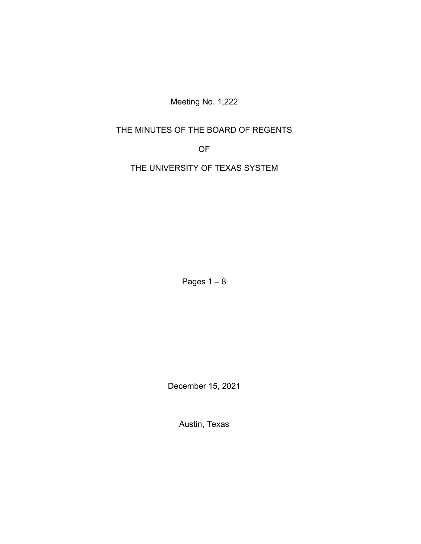Meeting No. 1,222

# THE MINUTES OF THE BOARD OF REGENTS

OF

THE UNIVERSITY OF TEXAS SYSTEM

Pages  $1 - 8$ 

December 15, 2021

Austin, Texas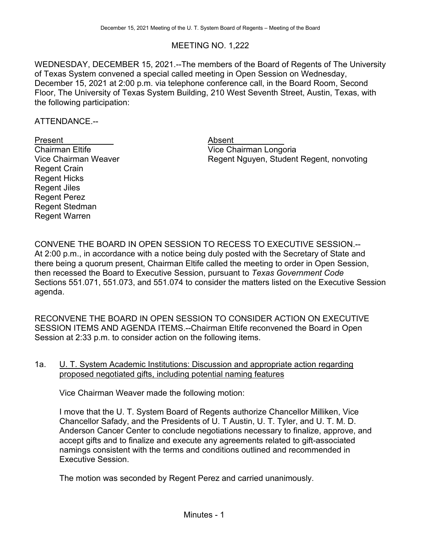# MEETING NO. 1,222

WEDNESDAY, DECEMBER 15, 2021.--The members of the Board of Regents of The University of Texas System convened a special called meeting in Open Session on Wednesday, December 15, 2021 at 2:00 p.m. via telephone conference call, in the Board Room, Second Floor, The University of Texas System Building, 210 West Seventh Street, Austin, Texas, with the following participation:

ATTENDANCE.--

Present Absent<br>
Chairman Eltife Chairman Absent<br>
Vice Cha Regent Crain Regent Hicks Regent Jiles Regent Perez Regent Stedman Regent Warren

Vice Chairman Longoria Vice Chairman Weaver **Regent Nguyen, Student Regent, nonvoting** 

CONVENE THE BOARD IN OPEN SESSION TO RECESS TO EXECUTIVE SESSION.-- At 2:00 p.m., in accordance with a notice being duly posted with the Secretary of State and there being a quorum present, Chairman Eltife called the meeting to order in Open Session, then recessed the Board to Executive Session, pursuant to *Texas Government Code* Sections 551.071, 551.073, and 551.074 to consider the matters listed on the Executive Session agenda.

RECONVENE THE BOARD IN OPEN SESSION TO CONSIDER ACTION ON EXECUTIVE SESSION ITEMS AND AGENDA ITEMS.--Chairman Eltife reconvened the Board in Open Session at 2:33 p.m. to consider action on the following items.

1a. U. T. System Academic Institutions: Discussion and appropriate action regarding proposed negotiated gifts, including potential naming features

Vice Chairman Weaver made the following motion:

I move that the U. T. System Board of Regents authorize Chancellor Milliken, Vice Chancellor Safady, and the Presidents of U. T Austin, U. T. Tyler, and U. T. M. D. Anderson Cancer Center to conclude negotiations necessary to finalize, approve, and accept gifts and to finalize and execute any agreements related to gift-associated namings consistent with the terms and conditions outlined and recommended in Executive Session.

The motion was seconded by Regent Perez and carried unanimously.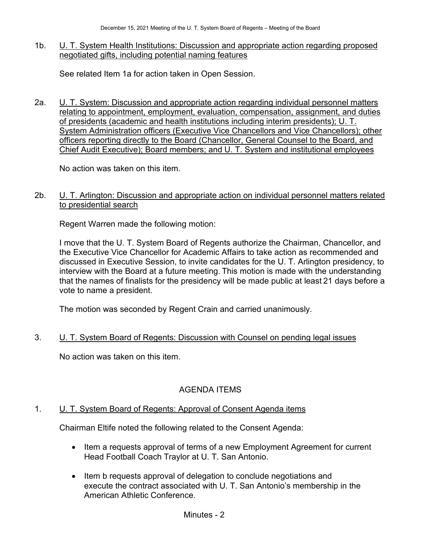1b. U. T. System Health Institutions: Discussion and appropriate action regarding proposed negotiated gifts, including potential naming features

See related Item 1a for action taken in Open Session.

2a. U. T. System: Discussion and appropriate action regarding individual personnel matters relating to appointment, employment, evaluation, compensation, assignment, and duties of presidents (academic and health institutions including interim presidents); U. T. System Administration officers (Executive Vice Chancellors and Vice Chancellors); other officers reporting directly to the Board (Chancellor, General Counsel to the Board, and Chief Audit Executive); Board members; and U. T. System and institutional employees

No action was taken on this item.

2b. **U. T. Arlington: Discussion and appropriate action on individual personnel matters related** to presidential search

Regent Warren made the following motion:

I move that the U. T. System Board of Regents authorize the Chairman, Chancellor, and the Executive Vice Chancellor for Academic Affairs to take action as recommended and discussed in Executive Session, to invite candidates for the U. T. Arlington presidency, to interview with the Board at a future meeting. This motion is made with the understanding that the names of finalists for the presidency will be made public at least 21 days before a vote to name a president.

The motion was seconded by Regent Crain and carried unanimously.

# 3. U. T. System Board of Regents: Discussion with Counsel on pending legal issues

No action was taken on this item.

# AGENDA ITEMS

### 1. U. T. System Board of Regents: Approval of Consent Agenda items

Chairman Eltife noted the following related to the Consent Agenda:

- Item a requests approval of terms of a new Employment Agreement for current Head Football Coach Traylor at U. T. San Antonio.
- Item b requests approval of delegation to conclude negotiations and execute the contract associated with U. T. San Antonio's membership in the American Athletic Conference.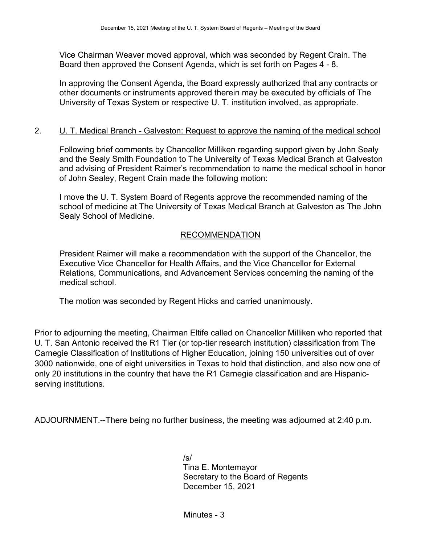Vice Chairman Weaver moved approval, which was seconded by Regent Crain. The Board then approved the Consent Agenda, which is set forth on Pages 4 - 8.

In approving the Consent Agenda, the Board expressly authorized that any contracts or other documents or instruments approved therein may be executed by officials of The University of Texas System or respective U. T. institution involved, as appropriate.

### 2. U. T. Medical Branch - Galveston: Request to approve the naming of the medical school

Following brief comments by Chancellor Milliken regarding support given by John Sealy and the Sealy Smith Foundation to The University of Texas Medical Branch at Galveston and advising of President Raimer's recommendation to name the medical school in honor of John Sealey, Regent Crain made the following motion:

I move the U. T. System Board of Regents approve the recommended naming of the school of medicine at The University of Texas Medical Branch at Galveston as The John Sealy School of Medicine.

## RECOMMENDATION

President Raimer will make a recommendation with the support of the Chancellor, the Executive Vice Chancellor for Health Affairs, and the Vice Chancellor for External Relations, Communications, and Advancement Services concerning the naming of the medical school.

The motion was seconded by Regent Hicks and carried unanimously.

Prior to adjourning the meeting, Chairman Eltife called on Chancellor Milliken who reported that U. T. San Antonio received the R1 Tier (or top-tier research institution) classification from The Carnegie Classification of Institutions of Higher Education, joining 150 universities out of over 3000 nationwide, one of eight universities in Texas to hold that distinction, and also now one of only 20 institutions in the country that have the R1 Carnegie classification and are Hispanicserving institutions.

ADJOURNMENT.--There being no further business, the meeting was adjourned at 2:40 p.m.

/s/ Tina E. Montemayor Secretary to the Board of Regents December 15, 2021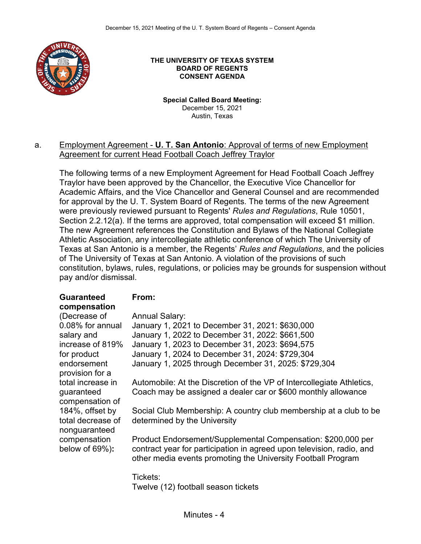

#### **THE UNIVERSITY OF TEXAS SYSTEM BOARD OF REGENTS CONSENT AGENDA**

**Special Called Board Meeting:**  December 15, 2021 Austin, Texas

#### a. Employment Agreement - **U. T. San Antonio**: Approval of terms of new Employment Agreement for current Head Football Coach Jeffrey Traylor

The following terms of a new Employment Agreement for Head Football Coach Jeffrey Traylor have been approved by the Chancellor, the Executive Vice Chancellor for Academic Affairs, and the Vice Chancellor and General Counsel and are recommended for approval by the U. T. System Board of Regents. The terms of the new Agreement were previously reviewed pursuant to Regents' *Rules and Regulations*, Rule 10501, Section 2.2.12(a). If the terms are approved, total compensation will exceed \$1 million. The new Agreement references the Constitution and Bylaws of the National Collegiate Athletic Association, any intercollegiate athletic conference of which The University of Texas at San Antonio is a member, the Regents' *Rules and Regulations*, and the policies of The University of Texas at San Antonio. A violation of the provisions of such constitution, bylaws, rules, regulations, or policies may be grounds for suspension without pay and/or dismissal.

# **Guaranteed compensation**

### **From:**

(Decrease of 0.08% for annual salary and increase of 819% for product endorsement provision for a total increase in guaranteed compensation of 184%, offset by total decrease of nonguaranteed compensation below of 69%)**:**

| Annual Salary:                                       |
|------------------------------------------------------|
| January 1, 2021 to December 31, 2021: \$630,000      |
| January 1, 2022 to December 31, 2022: \$661,500      |
| January 1, 2023 to December 31, 2023: \$694,575      |
| January 1, 2024 to December 31, 2024: \$729,304      |
| January 1, 2025 through December 31, 2025: \$729,304 |

Automobile: At the Discretion of the VP of Intercollegiate Athletics, Coach may be assigned a dealer car or \$600 monthly allowance

Social Club Membership: A country club membership at a club to be determined by the University

Product Endorsement/Supplemental Compensation: \$200,000 per contract year for participation in agreed upon television, radio, and other media events promoting the University Football Program

Tickets: Twelve (12) football season tickets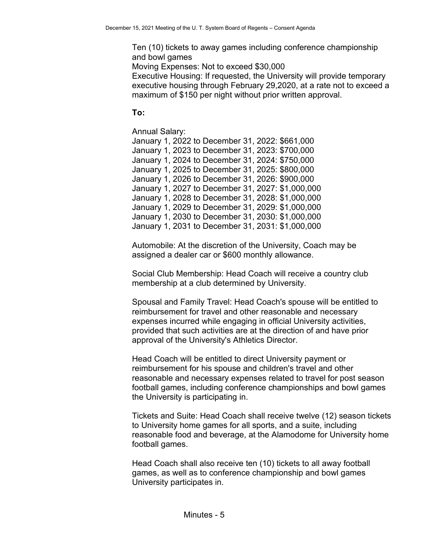Ten (10) tickets to away games including conference championship and bowl games

Moving Expenses: Not to exceed \$30,000

Executive Housing: If requested, the University will provide temporary executive housing through February 29,2020, at a rate not to exceed a maximum of \$150 per night without prior written approval.

# **To:**

Annual Salary:

January 1, 2022 to December 31, 2022: \$661,000 January 1, 2023 to December 31, 2023: \$700,000 January 1, 2024 to December 31, 2024: \$750,000 January 1, 2025 to December 31, 2025: \$800,000 January 1, 2026 to December 31, 2026: \$900,000 January 1, 2027 to December 31, 2027: \$1,000,000 January 1, 2028 to December 31, 2028: \$1,000,000 January 1, 2029 to December 31, 2029: \$1,000,000 January 1, 2030 to December 31, 2030: \$1,000,000 January 1, 2031 to December 31, 2031: \$1,000,000

Automobile: At the discretion of the University, Coach may be assigned a dealer car or \$600 monthly allowance.

Social Club Membership: Head Coach will receive a country club membership at a club determined by University.

Spousal and Family Travel: Head Coach's spouse will be entitled to reimbursement for travel and other reasonable and necessary expenses incurred while engaging in official University activities, provided that such activities are at the direction of and have prior approval of the University's Athletics Director.

Head Coach will be entitled to direct University payment or reimbursement for his spouse and children's travel and other reasonable and necessary expenses related to travel for post season football games, including conference championships and bowl games the University is participating in.

Tickets and Suite: Head Coach shall receive twelve (12) season tickets to University home games for all sports, and a suite, including reasonable food and beverage, at the Alamodome for University home football games.

Head Coach shall also receive ten (10) tickets to all away football games, as well as to conference championship and bowl games University participates in.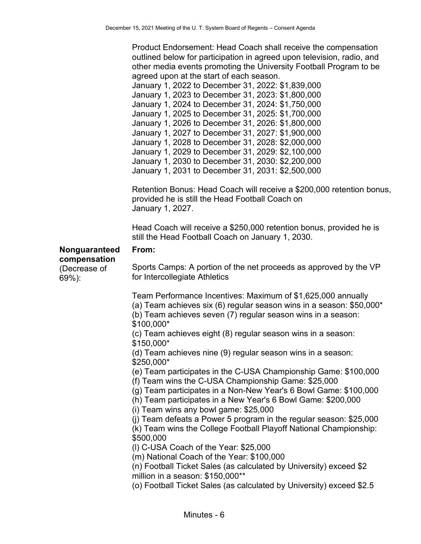Product Endorsement: Head Coach shall receive the compensation outlined below for participation in agreed upon television, radio, and other media events promoting the University Football Program to be agreed upon at the start of each season.

January 1, 2022 to December 31, 2022: \$1,839,000 January 1, 2023 to December 31, 2023: \$1,800,000 January 1, 2024 to December 31, 2024: \$1,750,000 January 1, 2025 to December 31, 2025: \$1,700,000 January 1, 2026 to December 31, 2026: \$1,800,000 January 1, 2027 to December 31, 2027: \$1,900,000 January 1, 2028 to December 31, 2028: \$2,000,000 January 1, 2029 to December 31, 2029: \$2,100,000 January 1, 2030 to December 31, 2030: \$2,200,000 January 1, 2031 to December 31, 2031: \$2,500,000

Retention Bonus: Head Coach will receive a \$200,000 retention bonus, provided he is still the Head Football Coach on January 1, 2027.

Head Coach will receive a \$250,000 retention bonus, provided he is still the Head Football Coach on January 1, 2030.

#### **Nonguaranteed compensation**

(Decrease of

69%):

### **From:**

Sports Camps: A portion of the net proceeds as approved by the VP for Intercollegiate Athletics

Team Performance Incentives: Maximum of \$1,625,000 annually (a) Team achieves six (6) regular season wins in a season: \$50,000\*

(b) Team achieves seven (7) regular season wins in a season: \$100,000\*

(c) Team achieves eight (8) regular season wins in a season:

\$150,000\*

(d) Team achieves nine (9) regular season wins in a season: \$250,000\*

(e) Team participates in the C-USA Championship Game: \$100,000

(f) Team wins the C-USA Championship Game: \$25,000

(g) Team participates in a Non-New Year's 6 Bowl Game: \$100,000

(h) Team participates in a New Year's 6 Bowl Game: \$200,000

(i) Team wins any bowl game: \$25,000

(j) Team defeats a Power 5 program in the regular season: \$25,000

(k) Team wins the College Football Playoff National Championship: \$500,000

(l) C-USA Coach of the Year: \$25,000

(m) National Coach of the Year: \$100,000

(n) Football Ticket Sales (as calculated by University) exceed \$2 million in a season: \$150,000\*\*

(o) Football Ticket Sales (as calculated by University) exceed \$2.5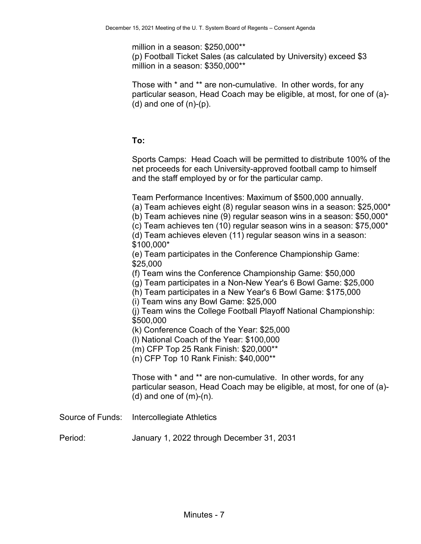million in a season: \$250,000\*\* (p) Football Ticket Sales (as calculated by University) exceed \$3 million in a season: \$350,000\*\*

Those with \* and \*\* are non-cumulative. In other words, for any particular season, Head Coach may be eligible, at most, for one of (a)-  $(d)$  and one of  $(n)-(p)$ .

## **To:**

Sports Camps: Head Coach will be permitted to distribute 100% of the net proceeds for each University-approved football camp to himself and the staff employed by or for the particular camp.

Team Performance Incentives: Maximum of \$500,000 annually.

(a) Team achieves eight (8) regular season wins in a season: \$25,000\*

(b) Team achieves nine (9) regular season wins in a season: \$50,000\*

(c) Team achieves ten (10) regular season wins in a season: \$75,000\*

(d) Team achieves eleven (11) regular season wins in a season:

\$100,000\*

(e) Team participates in the Conference Championship Game: \$25,000

(f) Team wins the Conference Championship Game: \$50,000

(g) Team participates in a Non-New Year's 6 Bowl Game: \$25,000

(h) Team participates in a New Year's 6 Bowl Game: \$175,000

(i) Team wins any Bowl Game: \$25,000

(j) Team wins the College Football Playoff National Championship: \$500,000

(k) Conference Coach of the Year: \$25,000

(l) National Coach of the Year: \$100,000

(m) CFP Top 25 Rank Finish: \$20,000\*\*

(n) CFP Top 10 Rank Finish: \$40,000\*\*

Those with \* and \*\* are non-cumulative. In other words, for any particular season, Head Coach may be eligible, at most, for one of (a)-  $(d)$  and one of  $(m)-(n)$ .

Source of Funds: Intercollegiate Athletics

Period: January 1, 2022 through December 31, 2031